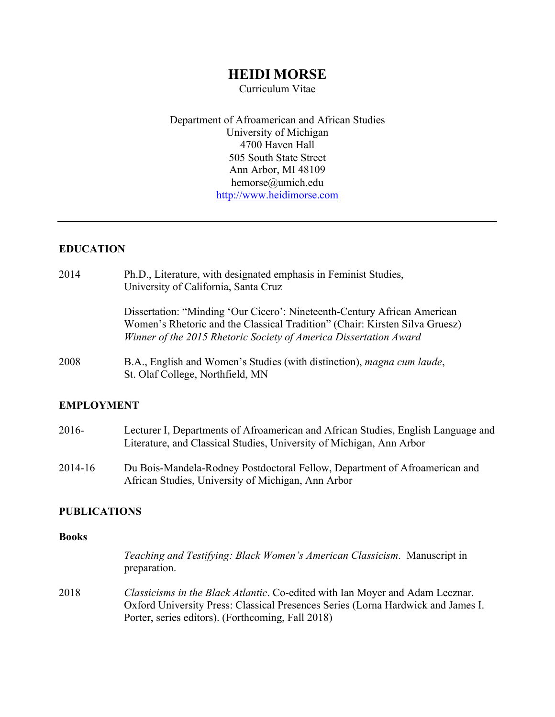# **HEIDI MORSE**

Curriculum Vitae

Department of Afroamerican and African Studies University of Michigan 4700 Haven Hall 505 South State Street Ann Arbor, MI 48109 hemorse@umich.edu http://www.heidimorse.com

### **EDUCATION**

| 2014 | Ph.D., Literature, with designated emphasis in Feminist Studies,<br>University of California, Santa Cruz                                                                                                                     |
|------|------------------------------------------------------------------------------------------------------------------------------------------------------------------------------------------------------------------------------|
|      | Dissertation: "Minding 'Our Cicero': Nineteenth-Century African American<br>Women's Rhetoric and the Classical Tradition" (Chair: Kirsten Silva Gruesz)<br>Winner of the 2015 Rhetoric Society of America Dissertation Award |
| 2008 | B.A., English and Women's Studies (with distinction), magna cum laude,<br>St. Olaf College, Northfield, MN                                                                                                                   |

#### **EMPLOYMENT**

| 2016-   | Lecturer I, Departments of Afroamerican and African Studies, English Language and |
|---------|-----------------------------------------------------------------------------------|
|         | Literature, and Classical Studies, University of Michigan, Ann Arbor              |
| 2014-16 | Du Bois-Mandela-Rodney Postdoctoral Fellow, Department of Afroamerican and        |
|         | African Studies, University of Michigan, Ann Arbor                                |

#### **PUBLICATIONS**

#### **Books**

|      | <i>Teaching and Testifying: Black Women's American Classicism.</i> Manuscript in<br>preparation.                                                                                                                              |
|------|-------------------------------------------------------------------------------------------------------------------------------------------------------------------------------------------------------------------------------|
| 2018 | <i>Classicisms in the Black Atlantic.</i> Co-edited with Ian Moyer and Adam Lecznar.<br>Oxford University Press: Classical Presences Series (Lorna Hardwick and James I.<br>Porter, series editors). (Forthcoming, Fall 2018) |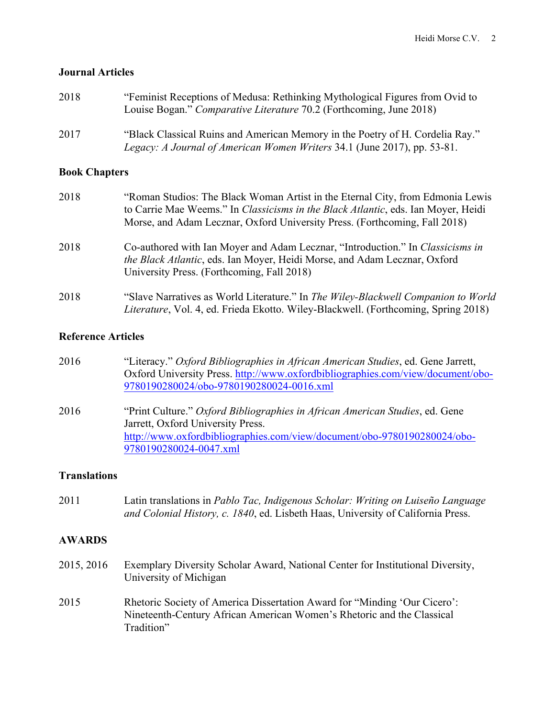#### **Journal Articles**

| 2018                 | "Feminist Receptions of Medusa: Rethinking Mythological Figures from Ovid to<br>Louise Bogan." Comparative Literature 70.2 (Forthcoming, June 2018)                                                                                                       |
|----------------------|-----------------------------------------------------------------------------------------------------------------------------------------------------------------------------------------------------------------------------------------------------------|
| 2017                 | "Black Classical Ruins and American Memory in the Poetry of H. Cordelia Ray."<br>Legacy: A Journal of American Women Writers 34.1 (June 2017), pp. 53-81.                                                                                                 |
| <b>Book Chapters</b> |                                                                                                                                                                                                                                                           |
| 2018                 | "Roman Studios: The Black Woman Artist in the Eternal City, from Edmonia Lewis<br>to Carrie Mae Weems." In <i>Classicisms in the Black Atlantic</i> , eds. Ian Moyer, Heidi<br>Morse, and Adam Lecznar, Oxford University Press. (Forthcoming, Fall 2018) |
| 2018                 | Co-authored with Ian Moyer and Adam Lecznar, "Introduction." In Classicisms in<br>the Black Atlantic, eds. Ian Moyer, Heidi Morse, and Adam Lecznar, Oxford<br>University Press. (Forthcoming, Fall 2018)                                                 |
| 2018                 | "Slave Narratives as World Literature." In The Wiley-Blackwell Companion to World<br><i>Literature</i> , Vol. 4, ed. Frieda Ekotto. Wiley-Blackwell. (Forthcoming, Spring 2018)                                                                           |

### **Reference Articles**

- 2016 "Literacy." *Oxford Bibliographies in African American Studies*, ed. Gene Jarrett, Oxford University Press. http://www.oxfordbibliographies.com/view/document/obo-9780190280024/obo-9780190280024-0016.xml
- 2016 "Print Culture." *Oxford Bibliographies in African American Studies*, ed. Gene Jarrett, Oxford University Press. http://www.oxfordbibliographies.com/view/document/obo-9780190280024/obo-9780190280024-0047.xml

### **Translations**

2011 Latin translations in *Pablo Tac, Indigenous Scholar: Writing on Luiseño Language and Colonial History, c. 1840*, ed. Lisbeth Haas, University of California Press.

### **AWARDS**

- 2015, 2016 Exemplary Diversity Scholar Award, National Center for Institutional Diversity, University of Michigan
- 2015 Rhetoric Society of America Dissertation Award for "Minding 'Our Cicero': Nineteenth-Century African American Women's Rhetoric and the Classical Tradition"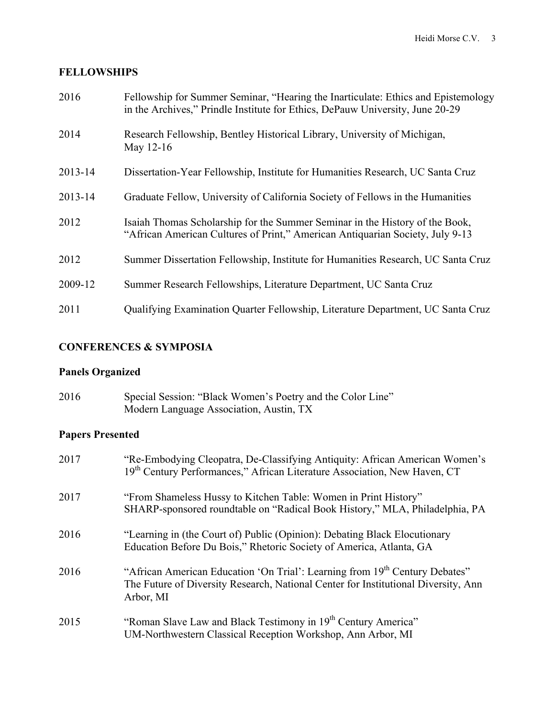### **FELLOWSHIPS**

| 2016    | Fellowship for Summer Seminar, "Hearing the Inarticulate: Ethics and Epistemology<br>in the Archives," Prindle Institute for Ethics, DePauw University, June 20-29 |
|---------|--------------------------------------------------------------------------------------------------------------------------------------------------------------------|
| 2014    | Research Fellowship, Bentley Historical Library, University of Michigan,<br>May 12-16                                                                              |
| 2013-14 | Dissertation-Year Fellowship, Institute for Humanities Research, UC Santa Cruz                                                                                     |
| 2013-14 | Graduate Fellow, University of California Society of Fellows in the Humanities                                                                                     |
| 2012    | Isaiah Thomas Scholarship for the Summer Seminar in the History of the Book,<br>"African American Cultures of Print," American Antiquarian Society, July 9-13      |
| 2012    | Summer Dissertation Fellowship, Institute for Humanities Research, UC Santa Cruz                                                                                   |
| 2009-12 | Summer Research Fellowships, Literature Department, UC Santa Cruz                                                                                                  |
| 2011    | Qualifying Examination Quarter Fellowship, Literature Department, UC Santa Cruz                                                                                    |

### **CONFERENCES & SYMPOSIA**

# **Panels Organized**

| 2016 | Special Session: "Black Women's Poetry and the Color Line" |
|------|------------------------------------------------------------|
|      | Modern Language Association, Austin, TX                    |

# **Papers Presented**

| 2017 | "Re-Embodying Cleopatra, De-Classifying Antiquity: African American Women's<br>19 <sup>th</sup> Century Performances," African Literature Association, New Haven, CT                       |
|------|--------------------------------------------------------------------------------------------------------------------------------------------------------------------------------------------|
| 2017 | "From Shameless Hussy to Kitchen Table: Women in Print History"<br>SHARP-sponsored roundtable on "Radical Book History," MLA, Philadelphia, PA                                             |
| 2016 | "Learning in (the Court of) Public (Opinion): Debating Black Elocutionary<br>Education Before Du Bois," Rhetoric Society of America, Atlanta, GA                                           |
| 2016 | "African American Education 'On Trial': Learning from 19 <sup>th</sup> Century Debates"<br>The Future of Diversity Research, National Center for Institutional Diversity, Ann<br>Arbor, MI |
| 2015 | "Roman Slave Law and Black Testimony in 19th Century America"<br>UM-Northwestern Classical Reception Workshop, Ann Arbor, MI                                                               |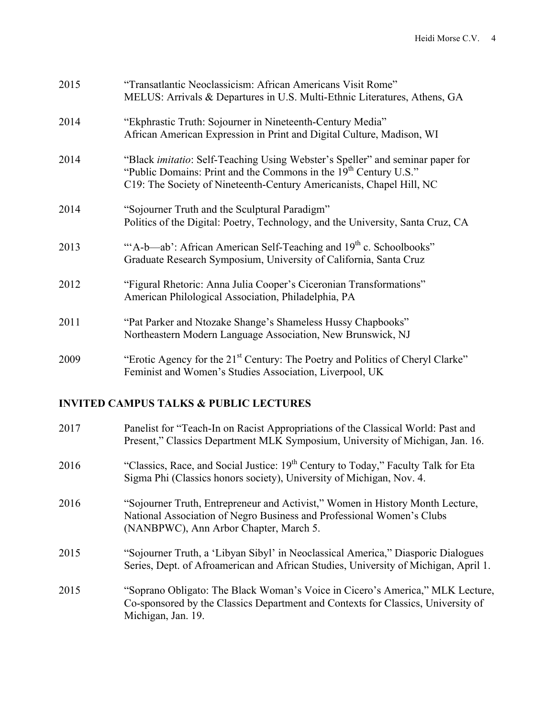| 2015 | "Transatlantic Neoclassicism: African Americans Visit Rome"<br>MELUS: Arrivals & Departures in U.S. Multi-Ethnic Literatures, Athens, GA                                                                                                      |
|------|-----------------------------------------------------------------------------------------------------------------------------------------------------------------------------------------------------------------------------------------------|
| 2014 | "Ekphrastic Truth: Sojourner in Nineteenth-Century Media"<br>African American Expression in Print and Digital Culture, Madison, WI                                                                                                            |
| 2014 | "Black <i>imitatio</i> : Self-Teaching Using Webster's Speller" and seminar paper for<br>"Public Domains: Print and the Commons in the 19 <sup>th</sup> Century U.S."<br>C19: The Society of Nineteenth-Century Americanists, Chapel Hill, NC |
| 2014 | "Sojourner Truth and the Sculptural Paradigm"<br>Politics of the Digital: Poetry, Technology, and the University, Santa Cruz, CA                                                                                                              |
| 2013 | "A-b—ab': African American Self-Teaching and 19 <sup>th</sup> c. Schoolbooks"<br>Graduate Research Symposium, University of California, Santa Cruz                                                                                            |
| 2012 | "Figural Rhetoric: Anna Julia Cooper's Ciceronian Transformations"<br>American Philological Association, Philadelphia, PA                                                                                                                     |
| 2011 | "Pat Parker and Ntozake Shange's Shameless Hussy Chapbooks"<br>Northeastern Modern Language Association, New Brunswick, NJ                                                                                                                    |
| 2009 | "Erotic Agency for the 21 <sup>st</sup> Century: The Poetry and Politics of Cheryl Clarke"<br>Feminist and Women's Studies Association, Liverpool, UK                                                                                         |

### **INVITED CAMPUS TALKS & PUBLIC LECTURES**

| 2017 | Panelist for "Teach-In on Racist Appropriations of the Classical World: Past and<br>Present," Classics Department MLK Symposium, University of Michigan, Jan. 16.                                |
|------|--------------------------------------------------------------------------------------------------------------------------------------------------------------------------------------------------|
| 2016 | "Classics, Race, and Social Justice: 19 <sup>th</sup> Century to Today," Faculty Talk for Eta<br>Sigma Phi (Classics honors society), University of Michigan, Nov. 4.                            |
| 2016 | "Sojourner Truth, Entrepreneur and Activist," Women in History Month Lecture,<br>National Association of Negro Business and Professional Women's Clubs<br>(NANBPWC), Ann Arbor Chapter, March 5. |
| 2015 | "Sojourner Truth, a 'Libyan Sibyl' in Neoclassical America," Diasporic Dialogues<br>Series, Dept. of Afroamerican and African Studies, University of Michigan, April 1.                          |
| 2015 | "Soprano Obligato: The Black Woman's Voice in Cicero's America," MLK Lecture,<br>Co-sponsored by the Classics Department and Contexts for Classics, University of<br>Michigan, Jan. 19.          |